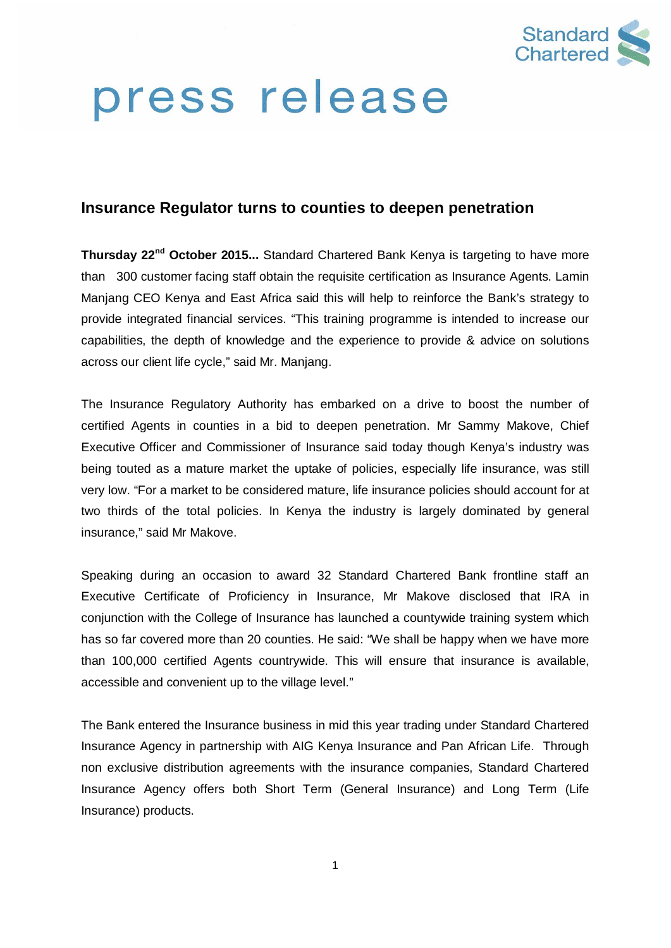

# press release

# **Insurance Regulator turns to counties to deepen penetration**

**Thursday 22nd October 2015...** Standard Chartered Bank Kenya is targeting to have more than 300 customer facing staff obtain the requisite certification as Insurance Agents. Lamin Manjang CEO Kenya and East Africa said this will help to reinforce the Bank's strategy to provide integrated financial services. "This training programme is intended to increase our capabilities, the depth of knowledge and the experience to provide & advice on solutions across our client life cycle," said Mr. Manjang.

The Insurance Regulatory Authority has embarked on a drive to boost the number of certified Agents in counties in a bid to deepen penetration. Mr Sammy Makove, Chief Executive Officer and Commissioner of Insurance said today though Kenya's industry was being touted as a mature market the uptake of policies, especially life insurance, was still very low. "For a market to be considered mature, life insurance policies should account for at two thirds of the total policies. In Kenya the industry is largely dominated by general insurance," said Mr Makove.

Speaking during an occasion to award 32 Standard Chartered Bank frontline staff an Executive Certificate of Proficiency in Insurance, Mr Makove disclosed that IRA in conjunction with the College of Insurance has launched a countywide training system which has so far covered more than 20 counties. He said: "We shall be happy when we have more than 100,000 certified Agents countrywide. This will ensure that insurance is available, accessible and convenient up to the village level."

The Bank entered the Insurance business in mid this year trading under Standard Chartered Insurance Agency in partnership with AIG Kenya Insurance and Pan African Life. Through non exclusive distribution agreements with the insurance companies, Standard Chartered Insurance Agency offers both Short Term (General Insurance) and Long Term (Life Insurance) products.